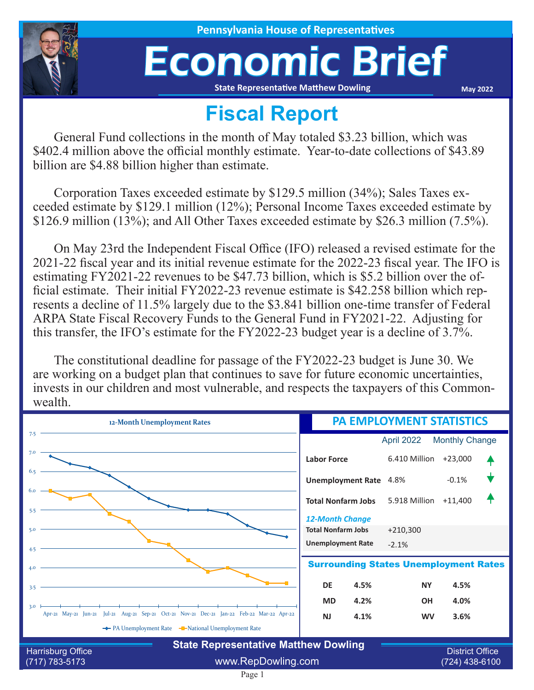

**House of Representatives** 

## Economic Brief

**State Representative Matthew Dowling**

**May 2022**

## **Fiscal Report**

General Fund collections in the month of May totaled \$3.23 billion, which was \$402.4 million above the official monthly estimate. Year-to-date collections of \$43.89 billion are \$4.88 billion higher than estimate.

Corporation Taxes exceeded estimate by \$129.5 million (34%); Sales Taxes exceeded estimate by \$129.1 million (12%); Personal Income Taxes exceeded estimate by \$126.9 million (13%); and All Other Taxes exceeded estimate by \$26.3 million (7.5%).

On May 23rd the Independent Fiscal Office (IFO) released a revised estimate for the 2021-22 fiscal year and its initial revenue estimate for the 2022-23 fiscal year. The IFO is estimating FY2021-22 revenues to be \$47.73 billion, which is \$5.2 billion over the official estimate. Their initial FY2022-23 revenue estimate is \$42.258 billion which represents a decline of 11.5% largely due to the \$3.841 billion one-time transfer of Federal ARPA State Fiscal Recovery Funds to the General Fund in FY2021-22. Adjusting for this transfer, the IFO's estimate for the FY2022-23 budget year is a decline of 3.7%.

The constitutional deadline for passage of the FY2022-23 budget is June 30. We are working on a budget plan that continues to save for future economic uncertainties, invests in our children and most vulnerable, and respects the taxpayers of this Commonwealth.

| 12-Month Unemployment Rates                                                                                                                              | <b>PA EMPLOYMENT STATISTICS</b>                                                 |                        |                       |  |
|----------------------------------------------------------------------------------------------------------------------------------------------------------|---------------------------------------------------------------------------------|------------------------|-----------------------|--|
| 7.5                                                                                                                                                      |                                                                                 | April 2022             | <b>Monthly Change</b> |  |
| 7.0                                                                                                                                                      | <b>Labor Force</b>                                                              | 6.410 Million          | $+23,000$             |  |
| 6.5                                                                                                                                                      | <b>Unemployment Rate</b>                                                        | 4.8%                   | $-0.1%$               |  |
| 6.0<br>5.5                                                                                                                                               | <b>Total Nonfarm Jobs</b>                                                       | 5.918 Million          | $+11,400$             |  |
| 5.0<br>4.5                                                                                                                                               | <b>12-Month Change</b><br><b>Total Nonfarm Jobs</b><br><b>Unemployment Rate</b> | $+210,300$<br>$-2.1%$  |                       |  |
| 4.0                                                                                                                                                      | <b>Surrounding States Unemployment Rates</b>                                    |                        |                       |  |
| 3.5                                                                                                                                                      | <b>DE</b><br>4.5%                                                               | <b>NY</b>              | 4.5%                  |  |
| 3.0<br>Apr-21 May-21 Jun-21 Jul-21 Aug-21 Sep-21 Oct-21 Nov-21 Dec-21 Jan-22 Feb-22 Mar-22 Apr-22                                                        | 4.2%<br><b>MD</b><br>4.1%<br><b>NJ</b>                                          | <b>OH</b><br><b>WV</b> | 4.0%<br>3.6%          |  |
| ← PA Unemployment Rate – National Unemployment Rate<br><b>State Representative Matthew Dowling</b><br><b>District Office</b><br><b>Harrisburg Office</b> |                                                                                 |                        |                       |  |
| www.RepDowling.com<br>$(717) 783 - 5173$                                                                                                                 |                                                                                 | (724) 438-6100         |                       |  |